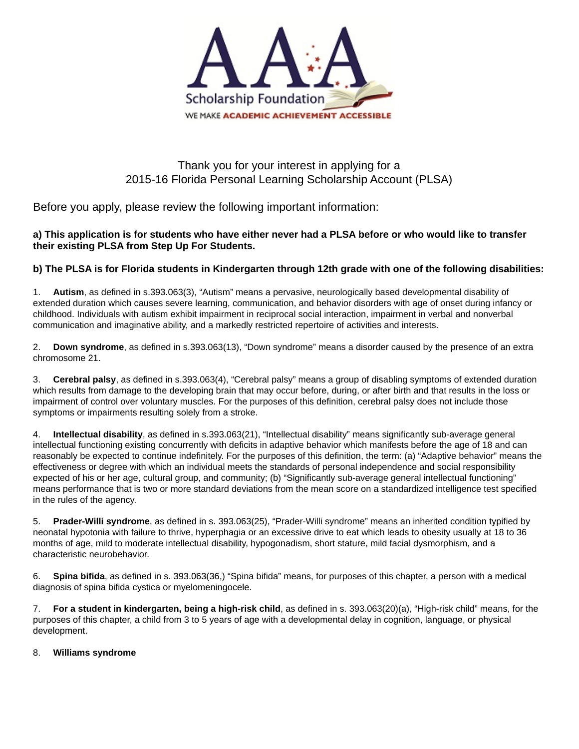

# Thank you for your interest in applying for a 2015-16 Florida Personal Learning Scholarship Account (PLSA)

Before you apply, please review the following important information:

### **a) This application is for students who have either never had a PLSA before or who would like to transfer their existing PLSA from Step Up For Students.**

## **b) The PLSA is for Florida students in Kindergarten through 12th grade with one of the following disabilities:**

1. **Autism**, as defined in s.393.063(3), "Autism" means a pervasive, neurologically based developmental disability of extended duration which causes severe learning, communication, and behavior disorders with age of onset during infancy or childhood. Individuals with autism exhibit impairment in reciprocal social interaction, impairment in verbal and nonverbal communication and imaginative ability, and a markedly restricted repertoire of activities and interests.

2. **Down syndrome**, as defined in s.393.063(13), "Down syndrome" means a disorder caused by the presence of an extra chromosome 21.

3. **Cerebral palsy**, as defined in s.393.063(4), "Cerebral palsy" means a group of disabling symptoms of extended duration which results from damage to the developing brain that may occur before, during, or after birth and that results in the loss or impairment of control over voluntary muscles. For the purposes of this definition, cerebral palsy does not include those symptoms or impairments resulting solely from a stroke.

4. **Intellectual disability**, as defined in s.393.063(21), "Intellectual disability" means significantly sub-average general intellectual functioning existing concurrently with deficits in adaptive behavior which manifests before the age of 18 and can reasonably be expected to continue indefinitely. For the purposes of this definition, the term: (a) "Adaptive behavior" means the effectiveness or degree with which an individual meets the standards of personal independence and social responsibility expected of his or her age, cultural group, and community; (b) "Significantly sub-average general intellectual functioning" means performance that is two or more standard deviations from the mean score on a standardized intelligence test specified in the rules of the agency.

5. **Prader-Willi syndrome**, as defined in s. 393.063(25), "Prader-Willi syndrome" means an inherited condition typified by neonatal hypotonia with failure to thrive, hyperphagia or an excessive drive to eat which leads to obesity usually at 18 to 36 months of age, mild to moderate intellectual disability, hypogonadism, short stature, mild facial dysmorphism, and a characteristic neurobehavior.

6. **Spina bifida**, as defined in s. 393.063(36,) "Spina bifida" means, for purposes of this chapter, a person with a medical diagnosis of spina bifida cystica or myelomeningocele.

7. **For a student in kindergarten, being a high-risk child**, as defined in s. 393.063(20)(a), "High-risk child" means, for the purposes of this chapter, a child from 3 to 5 years of age with a developmental delay in cognition, language, or physical development.

#### 8. **Williams syndrome**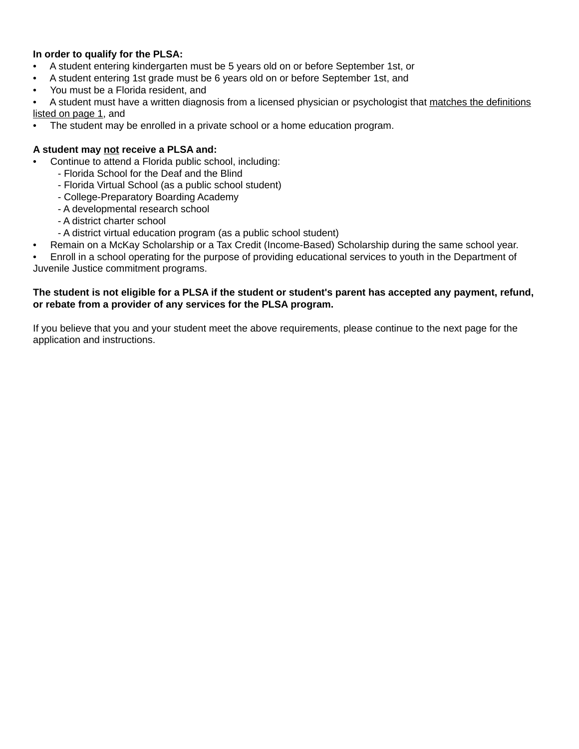#### **In order to qualify for the PLSA:**

- A student entering kindergarten must be 5 years old on or before September 1st, or
- A student entering 1st grade must be 6 years old on or before September 1st, and
- You must be a Florida resident, and

• A student must have a written diagnosis from a licensed physician or psychologist that matches the definitions listed on page 1, and

• The student may be enrolled in a private school or a home education program.

#### **A student may not receive a PLSA and:**

- Continue to attend a Florida public school, including:
	- Florida School for the Deaf and the Blind
	- Florida Virtual School (as a public school student)
	- College-Preparatory Boarding Academy
	- A developmental research school
	- A district charter school
	- A district virtual education program (as a public school student)
	- Remain on a McKay Scholarship or a Tax Credit (Income-Based) Scholarship during the same school year.

• Enroll in a school operating for the purpose of providing educational services to youth in the Department of Juvenile Justice commitment programs.

#### **The student is not eligible for a PLSA if the student or student's parent has accepted any payment, refund, or rebate from a provider of any services for the PLSA program.**

If you believe that you and your student meet the above requirements, please continue to the next page for the application and instructions.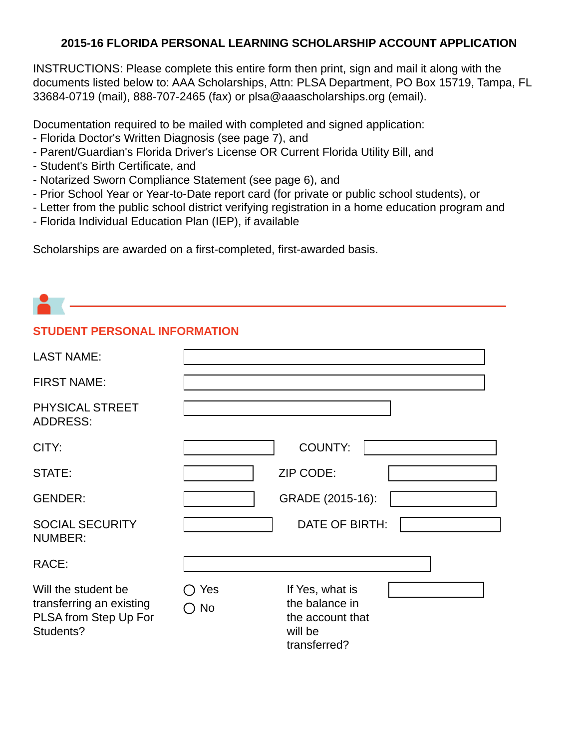# **2015-16 FLORIDA PERSONAL LEARNING SCHOLARSHIP ACCOUNT APPLICATION**

INSTRUCTIONS: Please complete this entire form then print, sign and mail it along with the documents listed below to: AAA Scholarships, Attn: PLSA Department, PO Box 15719, Tampa, FL 33684-0719 (mail), 888-707-2465 (fax) or plsa@aaascholarships.org (email).

Documentation required to be mailed with completed and signed application:

- Florida Doctor's Written Diagnosis (see page 7), and
- Parent/Guardian's Florida Driver's License OR Current Florida Utility Bill, and
- Student's Birth Certificate, and
- Notarized Sworn Compliance Statement (see page 6), and
- Prior School Year or Year-to-Date report card (for private or public school students), or
- Letter from the public school district verifying registration in a home education program and
- Florida Individual Education Plan (IEP), if available

Scholarships are awarded on a first-completed, first-awarded basis.

# **STUDENT PERSONAL INFORMATION**

| <b>LAST NAME:</b>                                                                     |           |                                                                                  |  |
|---------------------------------------------------------------------------------------|-----------|----------------------------------------------------------------------------------|--|
| <b>FIRST NAME:</b>                                                                    |           |                                                                                  |  |
| PHYSICAL STREET<br><b>ADDRESS:</b>                                                    |           |                                                                                  |  |
| CITY:                                                                                 |           | <b>COUNTY:</b>                                                                   |  |
| STATE:                                                                                |           | ZIP CODE:                                                                        |  |
| <b>GENDER:</b>                                                                        |           | GRADE (2015-16):                                                                 |  |
| <b>SOCIAL SECURITY</b><br><b>NUMBER:</b>                                              |           | DATE OF BIRTH:                                                                   |  |
| RACE:                                                                                 |           |                                                                                  |  |
| Will the student be<br>transferring an existing<br>PLSA from Step Up For<br>Students? | Yes<br>No | If Yes, what is<br>the balance in<br>the account that<br>will be<br>transferred? |  |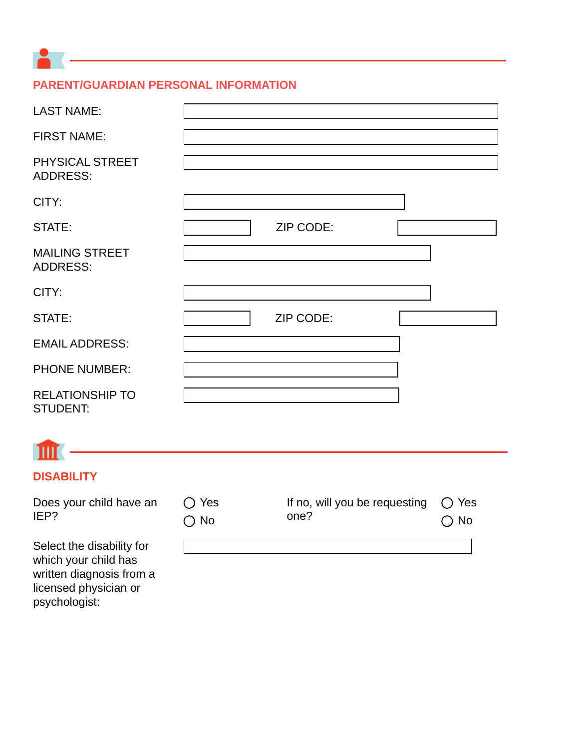# **PARENT/GUARDIAN PERSONAL INFORMATION**

| <b>LAST NAME:</b>                         |           |
|-------------------------------------------|-----------|
| <b>FIRST NAME:</b>                        |           |
| PHYSICAL STREET<br><b>ADDRESS:</b>        |           |
| CITY:                                     |           |
| STATE:                                    | ZIP CODE: |
| <b>MAILING STREET</b><br><b>ADDRESS:</b>  |           |
| CITY:                                     |           |
| STATE:                                    | ZIP CODE: |
| <b>EMAIL ADDRESS:</b>                     |           |
| <b>PHONE NUMBER:</b>                      |           |
| <b>RELATIONSHIP TO</b><br><b>STUDENT:</b> |           |

# $\mathbb{I}$

# **DISABILITY**

Does your child have an IEP?

Select the disability for which your child has written diagnosis from a licensed physician or psychologist:

| $\bigcirc$ Yes<br>$\bigcirc$ No | If no, will you be requesting $\bigcirc$ Yes<br>one? | $\bigcirc$ No |
|---------------------------------|------------------------------------------------------|---------------|
|                                 |                                                      |               |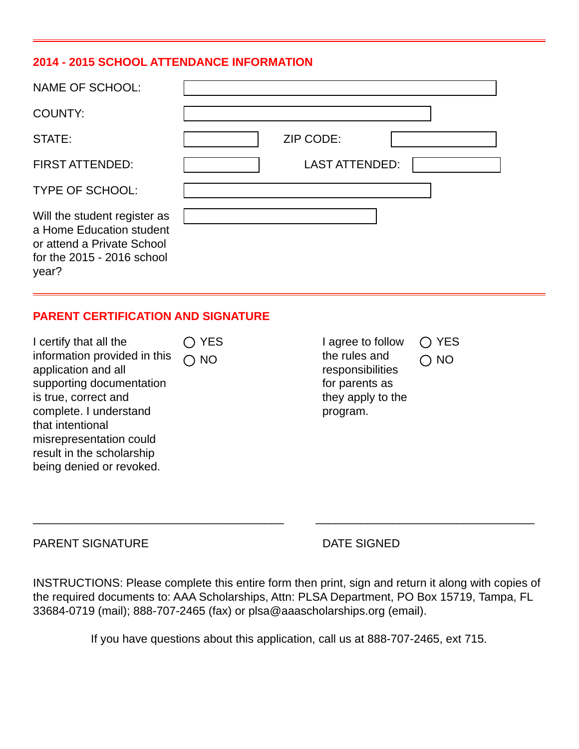## **2014 - 2015 SCHOOL ATTENDANCE INFORMATION**

| NAME OF SCHOOL:                                                                                                                 |                       |
|---------------------------------------------------------------------------------------------------------------------------------|-----------------------|
| <b>COUNTY:</b>                                                                                                                  |                       |
| STATE:                                                                                                                          | ZIP CODE:             |
| <b>FIRST ATTENDED:</b>                                                                                                          | <b>LAST ATTENDED:</b> |
| <b>TYPE OF SCHOOL:</b>                                                                                                          |                       |
| Will the student register as<br>a Home Education student<br>or attend a Private School<br>for the $2015 - 2016$ school<br>year? |                       |

## **PARENT CERTIFICATION AND SIGNATURE**

I certify that all the information provided in this application and all supporting documentation is true, correct and complete. I understand that intentional misrepresentation could result in the scholarship being denied or revoked. ◯ YES  $\bigcap$  NO

I agree to follow the rules and responsibilities for parents as they apply to the program. O YES  $\bigcap$  NO

PARENT SIGNATURE DATE SIGNED

INSTRUCTIONS: Please complete this entire form then print, sign and return it along with copies of the required documents to: AAA Scholarships, Attn: PLSA Department, PO Box 15719, Tampa, FL 33684-0719 (mail); 888-707-2465 (fax) or plsa@aaascholarships.org (email).

\_\_\_\_\_\_\_\_\_\_\_\_\_\_\_\_\_\_\_\_\_\_\_\_\_\_\_\_\_\_\_\_\_\_\_\_\_\_\_ \_\_\_\_\_\_\_\_\_\_\_\_\_\_\_\_\_\_\_\_\_\_\_\_\_\_\_\_\_\_\_\_\_\_

If you have questions about this application, call us at 888-707-2465, ext 715.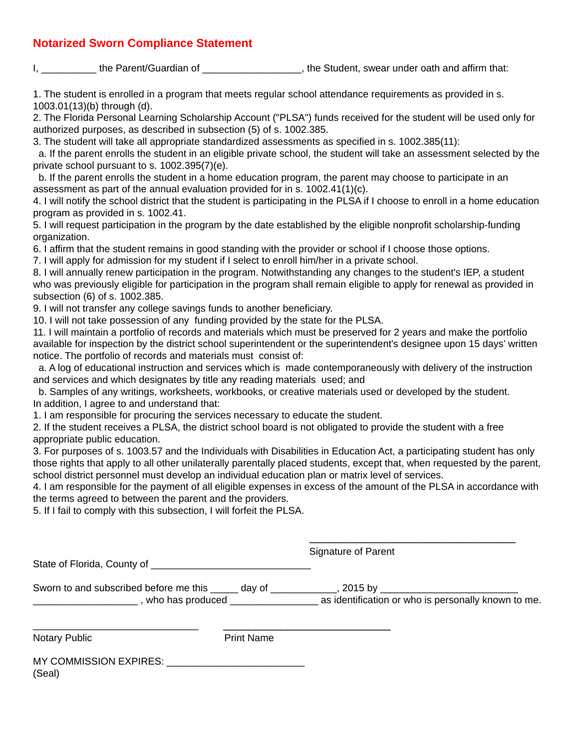## **Notarized Sworn Compliance Statement**

I, the Parent/Guardian of the Student, swear under oath and affirm that:

1. The student is enrolled in a program that meets regular school attendance requirements as provided in s. 1003.01(13)(b) through (d).

2. The Florida Personal Learning Scholarship Account ("PLSA") funds received for the student will be used only for authorized purposes, as described in subsection (5) of s. 1002.385.

3. The student will take all appropriate standardized assessments as specified in s. 1002.385(11):

 a. If the parent enrolls the student in an eligible private school, the student will take an assessment selected by the private school pursuant to s. 1002.395(7)(e).

 b. If the parent enrolls the student in a home education program, the parent may choose to participate in an assessment as part of the annual evaluation provided for in s. 1002.41(1)(c).

4. I will notify the school district that the student is participating in the PLSA if I choose to enroll in a home education program as provided in s. 1002.41.

5. I will request participation in the program by the date established by the eligible nonprofit scholarship-funding organization.

6. I affirm that the student remains in good standing with the provider or school if I choose those options.

7. I will apply for admission for my student if I select to enroll him/her in a private school.

8. I will annually renew participation in the program. Notwithstanding any changes to the student's IEP, a student who was previously eligible for participation in the program shall remain eligible to apply for renewal as provided in subsection (6) of s. 1002.385.

9. I will not transfer any college savings funds to another beneficiary.

10. I will not take possession of any funding provided by the state for the PLSA.

11. I will maintain a portfolio of records and materials which must be preserved for 2 years and make the portfolio available for inspection by the district school superintendent or the superintendent's designee upon 15 days' written notice. The portfolio of records and materials must consist of:

 a. A log of educational instruction and services which is made contemporaneously with delivery of the instruction and services and which designates by title any reading materials used; and

 b. Samples of any writings, worksheets, workbooks, or creative materials used or developed by the student. In addition, I agree to and understand that:

1. I am responsible for procuring the services necessary to educate the student.

2. If the student receives a PLSA, the district school board is not obligated to provide the student with a free appropriate public education.

3. For purposes of s. 1003.57 and the Individuals with Disabilities in Education Act, a participating student has only those rights that apply to all other unilaterally parentally placed students, except that, when requested by the parent, school district personnel must develop an individual education plan or matrix level of services.

4. I am responsible for the payment of all eligible expenses in excess of the amount of the PLSA in accordance with the terms agreed to between the parent and the providers.

 $\overline{\phantom{a}}$  , and the contract of the contract of the contract of the contract of the contract of the contract of the contract of the contract of the contract of the contract of the contract of the contract of the contrac

5. If I fail to comply with this subsection, I will forfeit the PLSA.

|                                                                                                     |                   | Signature of Parent                                                                               |  |
|-----------------------------------------------------------------------------------------------------|-------------------|---------------------------------------------------------------------------------------------------|--|
| Sworn to and subscribed before me this ______ day of _________<br>who has produced ________________ |                   | _, 2015 by _______________________________<br>as identification or who is personally known to me. |  |
| <b>Notary Public</b>                                                                                | <b>Print Name</b> |                                                                                                   |  |
|                                                                                                     |                   |                                                                                                   |  |

| MY COMMISSION EXPIRES: |  |
|------------------------|--|
| (Seal)                 |  |